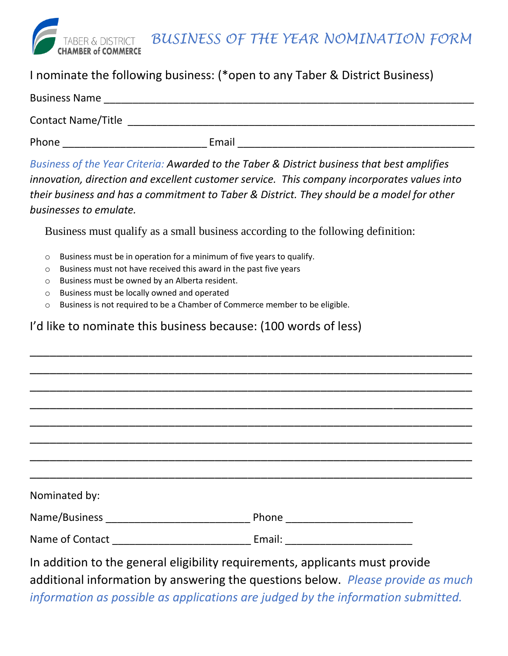

*BUSINESS OF THE YEAR NOMINATION FORM*

## I nominate the following business: (\*open to any Taber & District Business)

| <b>Business Name</b>      |       |  |
|---------------------------|-------|--|
| <b>Contact Name/Title</b> |       |  |
| Phone                     | Email |  |

*Business of the Year Criteria: Awarded to the Taber & District business that best amplifies innovation, direction and excellent customer service. This company incorporates values into their business and has a commitment to Taber & District. They should be a model for other businesses to emulate.*

Business must qualify as a small business according to the following definition:

- o Business must be in operation for a minimum of five years to qualify.
- o Business must not have received this award in the past five years
- o Business must be owned by an Alberta resident.
- o Business must be locally owned and operated
- o Business is not required to be a Chamber of Commerce member to be eligible.

## I'd like to nominate this business because: (100 words of less)

| Nominated by: |                                                                                                                                                                 |  |
|---------------|-----------------------------------------------------------------------------------------------------------------------------------------------------------------|--|
|               |                                                                                                                                                                 |  |
|               |                                                                                                                                                                 |  |
|               | In addition to the general eligibility requirements, applicants must provide<br>additional information by answering the questions below. Please provide as much |  |

\_\_\_\_\_\_\_\_\_\_\_\_\_\_\_\_\_\_\_\_\_\_\_\_\_\_\_\_\_\_\_\_\_\_\_\_\_\_\_\_\_\_\_\_\_\_\_\_\_\_\_\_\_\_\_\_\_\_\_\_\_\_\_\_\_\_\_

*information as possible as applications are judged by the information submitted.*